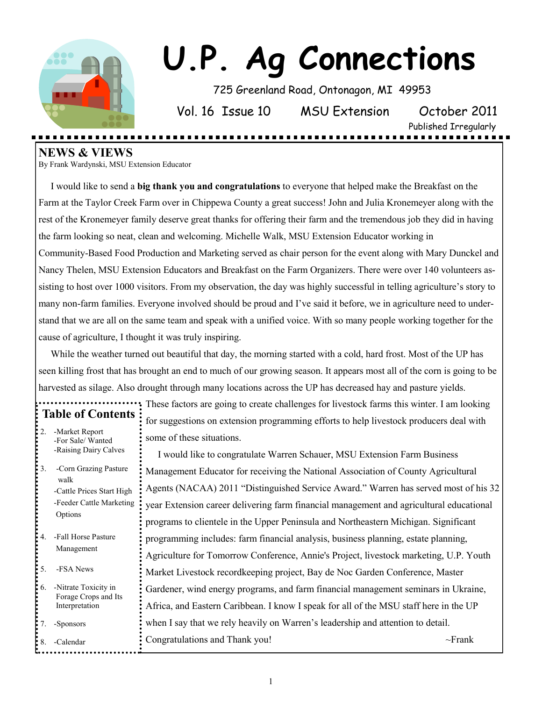

# **U.P. Ag Connections**

725 Greenland Road, Ontonagon, MI 49953

Vol. 16 Issue 10 MSU Extension October 2011

Published Irregularly

**NEWS & VIEWS** 

By Frank Wardynski, MSU Extension Educator

 I would like to send a **big thank you and congratulations** to everyone that helped make the Breakfast on the Farm at the Taylor Creek Farm over in Chippewa County a great success! John and Julia Kronemeyer along with the rest of the Kronemeyer family deserve great thanks for offering their farm and the tremendous job they did in having the farm looking so neat, clean and welcoming. Michelle Walk, MSU Extension Educator working in Community-Based Food Production and Marketing served as chair person for the event along with Mary Dunckel and Nancy Thelen, MSU Extension Educators and Breakfast on the Farm Organizers. There were over 140 volunteers assisting to host over 1000 visitors. From my observation, the day was highly successful in telling agriculture's story to many non-farm families. Everyone involved should be proud and I've said it before, we in agriculture need to understand that we are all on the same team and speak with a unified voice. With so many people working together for the cause of agriculture, I thought it was truly inspiring.

 While the weather turned out beautiful that day, the morning started with a cold, hard frost. Most of the UP has seen killing frost that has brought an end to much of our growing season. It appears most all of the corn is going to be harvested as silage. Also drought through many locations across the UP has decreased hay and pasture yields.

| $\ddot{\phantom{a}}$<br><b>Table of Contents</b> |                                                                                                   |  |  |
|--------------------------------------------------|---------------------------------------------------------------------------------------------------|--|--|
| 2.                                               | -Market Report<br>-For Sale/Wanted<br>-Raising Dairy Calves                                       |  |  |
| 3.                                               | -Corn Grazing Pasture<br>walk<br>-Cattle Prices Start High<br>-Feeder Cattle Marketing<br>Options |  |  |
| 4.                                               | -Fall Horse Pasture<br>Management                                                                 |  |  |
| 5.                                               | -FSA News                                                                                         |  |  |
| :<br>:<br>:<br>:<br>6.                           | -Nitrate Toxicity in<br>Forage Crops and Its<br>Interpretation                                    |  |  |
| 7.                                               | -Sponsors                                                                                         |  |  |
| :<br>: 8.                                        | -Calendar                                                                                         |  |  |

These factors are going to create challenges for livestock farms this winter. I am looking for suggestions on extension programming efforts to help livestock producers deal with some of these situations.

 I would like to congratulate Warren Schauer, MSU Extension Farm Business Management Educator for receiving the National Association of County Agricultural Agents (NACAA) 2011 "Distinguished Service Award." Warren has served most of his 32 year Extension career delivering farm financial management and agricultural educational programs to clientele in the Upper Peninsula and Northeastern Michigan. Significant programming includes: farm financial analysis, business planning, estate planning, Agriculture for Tomorrow Conference, Annie's Project, livestock marketing, U.P. Youth Market Livestock recordkeeping project, Bay de Noc Garden Conference, Master Gardener, wind energy programs, and farm financial management seminars in Ukraine, Africa, and Eastern Caribbean. I know I speak for all of the MSU staff here in the UP when I say that we rely heavily on Warren's leadership and attention to detail. Congratulations and Thank you!  $\sim$ Frank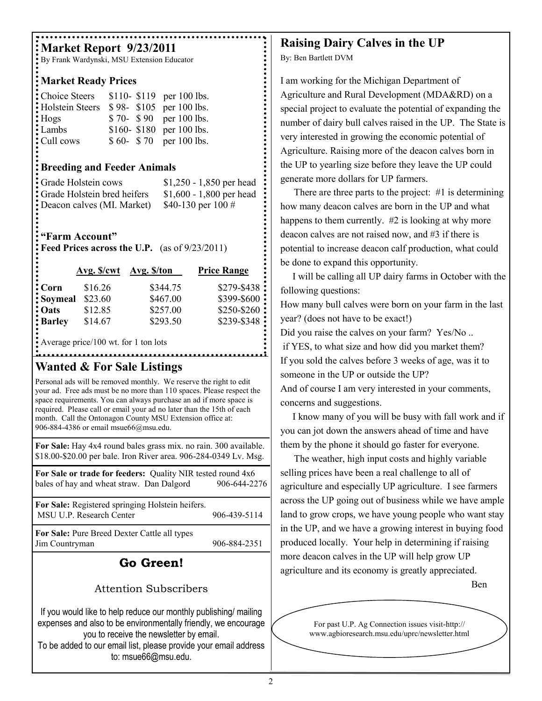# **Market Report 9/23/2011**

By Frank Wardynski, MSU Extension Educator

#### **Market Ready Prices**

| Choice Steers   |  | \$110-\$119 per 100 lbs. |
|-----------------|--|--------------------------|
| Holstein Steers |  | \$98- \$105 per 100 lbs. |
| : Hogs          |  | \$70- \$90 per 100 lbs.  |
| Lambs           |  | \$160-\$180 per 100 lbs. |
| Cull cows:      |  | $$60-$70 per 100 lbs.$   |

#### **Breeding and Feeder Animals**

| Grade Holstein cows                  | $$1,250 - 1,850$ per head |
|--------------------------------------|---------------------------|
| <b>:</b> Grade Holstein bred heifers | $$1,600 - 1,800$ per head |
| Deacon calves (MI. Market)           | \$40-130 per 100 $\#$     |

# **"Farm Account"**

**Feed Prices across the U.P.** (as of 9/23/2011)

| ٠<br>$\bullet$<br>$\bullet$ | Avg. S/cwt | Avg. \$/ton | <b>Price Range</b> |
|-----------------------------|------------|-------------|--------------------|
| $\bullet$<br>$: Corn$       | \$16.26    | \$344.75    | \$279-\$438        |
| : Soymeal                   | \$23.60    | \$467.00    | \$399-\$600        |
| : Oats                      | \$12.85    | \$257.00    | \$250-\$260        |
| $\frac{1}{2}$ Barley        | \$14.67    | \$293.50    | \$239-\$348        |
|                             |            |             |                    |

Average price/100 wt. for 1 ton lots

. . . . . . . . . . . . . . . . . . .

## **Wanted & For Sale Listings**

Personal ads will be removed monthly. We reserve the right to edit your ad. Free ads must be no more than 110 spaces. Please respect the space requirements. You can always purchase an ad if more space is required. Please call or email your ad no later than the 15th of each month. Call the Ontonagon County MSU Extension office at: 906-884-4386 or email msue66@msu.edu.

**For Sale:** Hay 4x4 round bales grass mix. no rain. 300 available. \$18.00-\$20.00 per bale. Iron River area. 906-284-0349 Lv. Msg.

**For Sale or trade for feeders:** Quality NIR tested round 4x6 bales of hay and wheat straw. Dan Dalgord 906-644-2276

| For Sale: Registered springing Holstein heifers.<br>MSU U.P. Research Center<br>906-439-5114 |
|----------------------------------------------------------------------------------------------|
|----------------------------------------------------------------------------------------------|

**For Sale:** Pure Breed Dexter Cattle all types Jim Countryman 906-884-2351

# **Go Green!**

### Attention Subscribers

If you would like to help reduce our monthly publishing/ mailing expenses and also to be environmentally friendly, we encourage you to receive the newsletter by email.

To be added to our email list, please provide your email address to: msue66@msu.edu.

# **Raising Dairy Calves in the UP**

By: Ben Bartlett DVM

I am working for the Michigan Department of Agriculture and Rural Development (MDA&RD) on a special project to evaluate the potential of expanding the number of dairy bull calves raised in the UP. The State is very interested in growing the economic potential of Agriculture. Raising more of the deacon calves born in the UP to yearling size before they leave the UP could generate more dollars for UP farmers.

There are three parts to the project: #1 is determining how many deacon calves are born in the UP and what happens to them currently. #2 is looking at why more deacon calves are not raised now, and #3 if there is potential to increase deacon calf production, what could be done to expand this opportunity.

 I will be calling all UP dairy farms in October with the following questions:

How many bull calves were born on your farm in the last year? (does not have to be exact!)

Did you raise the calves on your farm? Yes/No...

if YES, to what size and how did you market them? If you sold the calves before 3 weeks of age, was it to someone in the UP or outside the UP?

And of course I am very interested in your comments, concerns and suggestions.

 I know many of you will be busy with fall work and if you can jot down the answers ahead of time and have them by the phone it should go faster for everyone.

The weather, high input costs and highly variable selling prices have been a real challenge to all of agriculture and especially UP agriculture. I see farmers across the UP going out of business while we have ample land to grow crops, we have young people who want stay in the UP, and we have a growing interest in buying food produced locally. Your help in determining if raising more deacon calves in the UP will help grow UP agriculture and its economy is greatly appreciated.

Ben

For past U.P. Ag Connection issues visit-http:// www.agbioresearch.msu.edu/uprc/newsletter.html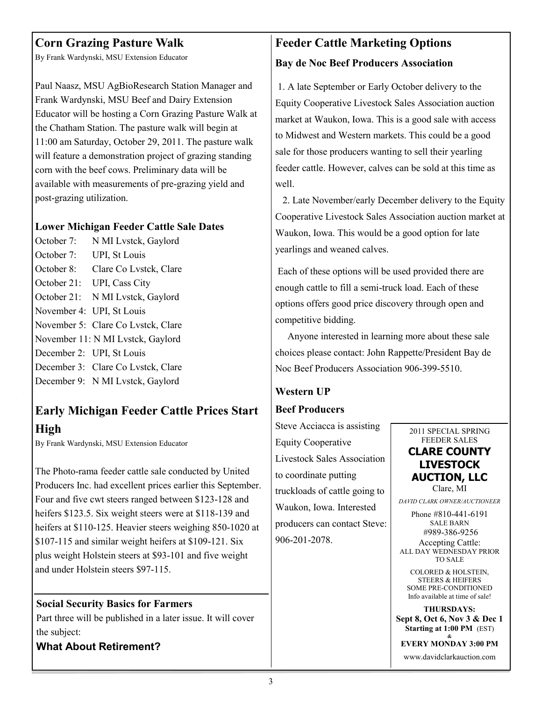# **Corn Grazing Pasture Walk**

By Frank Wardynski, MSU Extension Educator

Paul Naasz, MSU AgBioResearch Station Manager and Frank Wardynski, MSU Beef and Dairy Extension Educator will be hosting a Corn Grazing Pasture Walk at the Chatham Station. The pasture walk will begin at 11:00 am Saturday, October 29, 2011. The pasture walk will feature a demonstration project of grazing standing corn with the beef cows. Preliminary data will be available with measurements of pre-grazing yield and post-grazing utilization.

#### **Lower Michigan Feeder Cattle Sale Dates**

October 7: N MI Lystck, Gaylord October 7: UPI, St Louis October 8: Clare Co Lvstck, Clare October 21: UPI, Cass City October 21: N MI Lvstck, Gaylord November 4: UPI, St Louis November 5: Clare Co Lvstck, Clare November 11: N MI Lvstck, Gaylord December 2: UPI, St Louis December 3: Clare Co Lvstck, Clare December 9: N MI Lvstck, Gaylord

# **Early Michigan Feeder Cattle Prices Start High**

By Frank Wardynski, MSU Extension Educator

The Photo-rama feeder cattle sale conducted by United Producers Inc. had excellent prices earlier this September. Four and five cwt steers ranged between \$123-128 and heifers \$123.5. Six weight steers were at \$118-139 and heifers at \$110-125. Heavier steers weighing 850-1020 at \$107-115 and similar weight heifers at \$109-121. Six plus weight Holstein steers at \$93-101 and five weight and under Holstein steers \$97-115.

**Social Security Basics for Farmers**  Part three will be published in a later issue. It will cover the subject:

#### **What About Retirement?**

# **Feeder Cattle Marketing Options Bay de Noc Beef Producers Association**

1. A late September or Early October delivery to the Equity Cooperative Livestock Sales Association auction market at Waukon, Iowa. This is a good sale with access to Midwest and Western markets. This could be a good sale for those producers wanting to sell their yearling feeder cattle. However, calves can be sold at this time as well.

 2. Late November/early December delivery to the Equity Cooperative Livestock Sales Association auction market at Waukon, Iowa. This would be a good option for late yearlings and weaned calves.

Each of these options will be used provided there are enough cattle to fill a semi-truck load. Each of these options offers good price discovery through open and competitive bidding.

 Anyone interested in learning more about these sale choices please contact: John Rappette/President Bay de Noc Beef Producers Association 906-399-5510.

### **Western UP**

#### **Beef Producers**

Steve Acciacca is assisting Equity Cooperative Livestock Sales Association to coordinate putting truckloads of cattle going to Waukon, Iowa. Interested producers can contact Steve: 906-201-2078.

2011 SPECIAL SPRING FEEDER SALES **CLARE COUNTY LIVESTOCK AUCTION, LLC**

Clare, MI

*DAVID CLARK OWNER/AUCTIONEER*

Phone #810-441-6191 SALE BARN #989-386-9256

Accepting Cattle: ALL DAY WEDNESDAY PRIOR TO SALE

COLORED & HOLSTEIN, STEERS & HEIFERS SOME PRE-CONDITIONED Info available at time of sale!

**THURSDAYS: Sept 8, Oct 6, Nov 3 & Dec 1 Starting at 1:00 PM** (EST)

**& EVERY MONDAY 3:00 PM**

www.davidclarkauction.com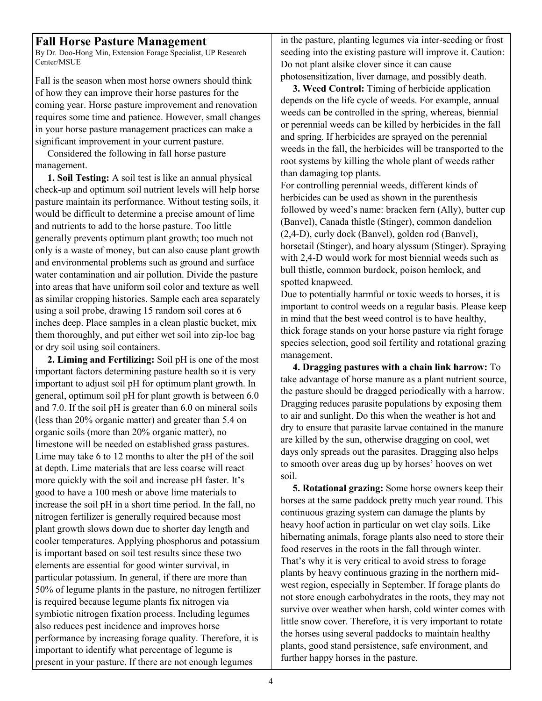#### **Fall Horse Pasture Management**

By Dr. Doo-Hong Min, Extension Forage Specialist, UP Research Center/MSUE

Fall is the season when most horse owners should think of how they can improve their horse pastures for the coming year. Horse pasture improvement and renovation requires some time and patience. However, small changes in your horse pasture management practices can make a significant improvement in your current pasture.

 Considered the following in fall horse pasture management.

 **1. Soil Testing:** A soil test is like an annual physical check-up and optimum soil nutrient levels will help horse pasture maintain its performance. Without testing soils, it would be difficult to determine a precise amount of lime and nutrients to add to the horse pasture. Too little generally prevents optimum plant growth; too much not only is a waste of money, but can also cause plant growth and environmental problems such as ground and surface water contamination and air pollution. Divide the pasture into areas that have uniform soil color and texture as well as similar cropping histories. Sample each area separately using a soil probe, drawing 15 random soil cores at 6 inches deep. Place samples in a clean plastic bucket, mix them thoroughly, and put either wet soil into zip-loc bag or dry soil using soil containers.

 **2. Liming and Fertilizing:** Soil pH is one of the most important factors determining pasture health so it is very important to adjust soil pH for optimum plant growth. In general, optimum soil pH for plant growth is between 6.0 and 7.0. If the soil pH is greater than 6.0 on mineral soils (less than 20% organic matter) and greater than 5.4 on organic soils (more than 20% organic matter), no limestone will be needed on established grass pastures. Lime may take 6 to 12 months to alter the pH of the soil at depth. Lime materials that are less coarse will react more quickly with the soil and increase pH faster. It's good to have a 100 mesh or above lime materials to increase the soil pH in a short time period. In the fall, no nitrogen fertilizer is generally required because most plant growth slows down due to shorter day length and cooler temperatures. Applying phosphorus and potassium is important based on soil test results since these two elements are essential for good winter survival, in particular potassium. In general, if there are more than 50% of legume plants in the pasture, no nitrogen fertilizer is required because legume plants fix nitrogen via symbiotic nitrogen fixation process. Including legumes also reduces pest incidence and improves horse performance by increasing forage quality. Therefore, it is important to identify what percentage of legume is present in your pasture. If there are not enough legumes

in the pasture, planting legumes via inter-seeding or frost seeding into the existing pasture will improve it. Caution: Do not plant alsike clover since it can cause photosensitization, liver damage, and possibly death.

 **3. Weed Control:** Timing of herbicide application depends on the life cycle of weeds. For example, annual weeds can be controlled in the spring, whereas, biennial or perennial weeds can be killed by herbicides in the fall and spring. If herbicides are sprayed on the perennial weeds in the fall, the herbicides will be transported to the root systems by killing the whole plant of weeds rather than damaging top plants.

For controlling perennial weeds, different kinds of herbicides can be used as shown in the parenthesis followed by weed's name: bracken fern (Ally), butter cup (Banvel), Canada thistle (Stinger), common dandelion (2,4-D), curly dock (Banvel), golden rod (Banvel), horsetail (Stinger), and hoary alyssum (Stinger). Spraying with 2,4-D would work for most biennial weeds such as bull thistle, common burdock, poison hemlock, and spotted knapweed.

Due to potentially harmful or toxic weeds to horses, it is important to control weeds on a regular basis. Please keep in mind that the best weed control is to have healthy, thick forage stands on your horse pasture via right forage species selection, good soil fertility and rotational grazing management.

 **4. Dragging pastures with a chain link harrow:** To take advantage of horse manure as a plant nutrient source, the pasture should be dragged periodically with a harrow. Dragging reduces parasite populations by exposing them to air and sunlight. Do this when the weather is hot and dry to ensure that parasite larvae contained in the manure are killed by the sun, otherwise dragging on cool, wet days only spreads out the parasites. Dragging also helps to smooth over areas dug up by horses' hooves on wet soil.

 **5. Rotational grazing:** Some horse owners keep their horses at the same paddock pretty much year round. This continuous grazing system can damage the plants by heavy hoof action in particular on wet clay soils. Like hibernating animals, forage plants also need to store their food reserves in the roots in the fall through winter. That's why it is very critical to avoid stress to forage plants by heavy continuous grazing in the northern midwest region, especially in September. If forage plants do not store enough carbohydrates in the roots, they may not survive over weather when harsh, cold winter comes with little snow cover. Therefore, it is very important to rotate the horses using several paddocks to maintain healthy plants, good stand persistence, safe environment, and further happy horses in the pasture.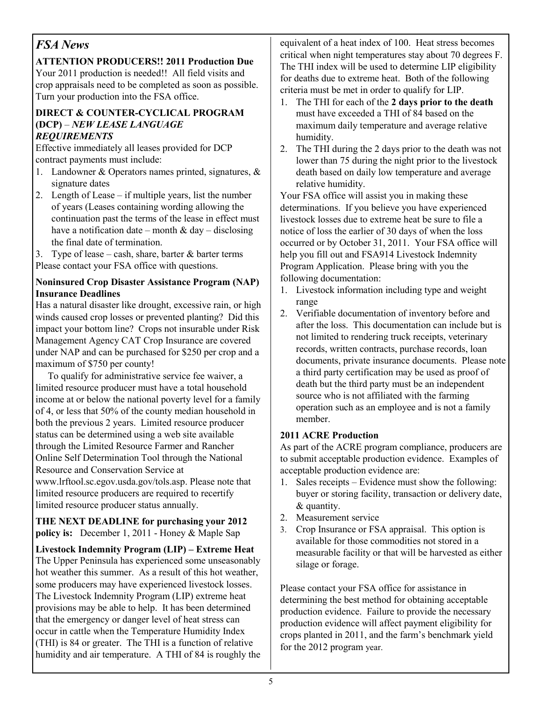# *FSA News*

**ATTENTION PRODUCERS!! 2011 Production Due** Your 2011 production is needed!! All field visits and crop appraisals need to be completed as soon as possible. Turn your production into the FSA office.

#### **DIRECT & COUNTER-CYCLICAL PROGRAM (DCP)** – *NEW LEASE LANGUAGE REQUIREMENTS*

Effective immediately all leases provided for DCP contract payments must include:

- 1. Landowner & Operators names printed, signatures, & signature dates
- 2. Length of Lease if multiple years, list the number of years (Leases containing wording allowing the continuation past the terms of the lease in effect must have a notification date – month  $\&$  day – disclosing the final date of termination.

3. Type of lease – cash, share, barter  $\&$  barter terms Please contact your FSA office with questions.

#### **Noninsured Crop Disaster Assistance Program (NAP) Insurance Deadlines**

Has a natural disaster like drought, excessive rain, or high winds caused crop losses or prevented planting? Did this impact your bottom line? Crops not insurable under Risk Management Agency CAT Crop Insurance are covered under NAP and can be purchased for \$250 per crop and a maximum of \$750 per county!

 To qualify for administrative service fee waiver, a limited resource producer must have a total household income at or below the national poverty level for a family of 4, or less that 50% of the county median household in both the previous 2 years. Limited resource producer status can be determined using a web site available through the Limited Resource Farmer and Rancher Online Self Determination Tool through the National Resource and Conservation Service at [www.lrftool.sc.egov.usda.gov/tols.asp.](http://www.lrftool.sc.egov.usda.gov/tols.asp) Please note that limited resource producers are required to recertify limited resource producer status annually.

#### **THE NEXT DEADLINE for purchasing your 2012 policy is:** December 1, 2011 - Honey & Maple Sap

**Livestock Indemnity Program (LIP) – Extreme Heat** The Upper Peninsula has experienced some unseasonably hot weather this summer. As a result of this hot weather, some producers may have experienced livestock losses. The Livestock Indemnity Program (LIP) extreme heat provisions may be able to help. It has been determined that the emergency or danger level of heat stress can occur in cattle when the Temperature Humidity Index (THI) is 84 or greater. The THI is a function of relative humidity and air temperature. A THI of 84 is roughly the equivalent of a heat index of 100. Heat stress becomes critical when night temperatures stay about 70 degrees F. The THI index will be used to determine LIP eligibility for deaths due to extreme heat. Both of the following criteria must be met in order to qualify for LIP.

- 1. The THI for each of the **2 days prior to the death** must have exceeded a THI of 84 based on the maximum daily temperature and average relative humidity.
- 2. The THI during the 2 days prior to the death was not lower than 75 during the night prior to the livestock death based on daily low temperature and average relative humidity.

Your FSA office will assist you in making these determinations. If you believe you have experienced livestock losses due to extreme heat be sure to file a notice of loss the earlier of 30 days of when the loss occurred or by October 31, 2011. Your FSA office will help you fill out and FSA914 Livestock Indemnity Program Application. Please bring with you the following documentation:

- 1. Livestock information including type and weight range
- 2. Verifiable documentation of inventory before and after the loss. This documentation can include but is not limited to rendering truck receipts, veterinary records, written contracts, purchase records, loan documents, private insurance documents. Please note a third party certification may be used as proof of death but the third party must be an independent source who is not affiliated with the farming operation such as an employee and is not a family member.

### **2011 ACRE Production**

As part of the ACRE program compliance, producers are to submit acceptable production evidence. Examples of acceptable production evidence are:

- 1. Sales receipts Evidence must show the following: buyer or storing facility, transaction or delivery date, & quantity.
- 2. Measurement service
- 3. Crop Insurance or FSA appraisal. This option is available for those commodities not stored in a measurable facility or that will be harvested as either silage or forage.

Please contact your FSA office for assistance in determining the best method for obtaining acceptable production evidence. Failure to provide the necessary production evidence will affect payment eligibility for crops planted in 2011, and the farm's benchmark yield for the 2012 program year.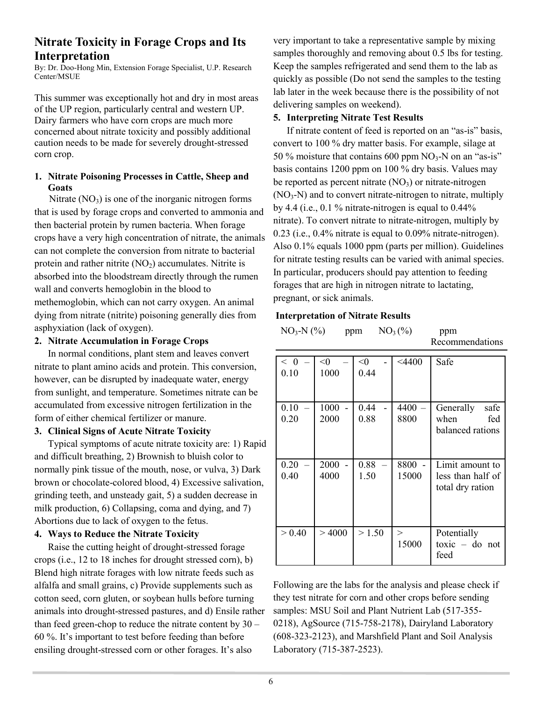### **Nitrate Toxicity in Forage Crops and Its Interpretation**

By: Dr. Doo-Hong Min, Extension Forage Specialist, U.P. Research Center/MSUE

This summer was exceptionally hot and dry in most areas of the UP region, particularly central and western UP. Dairy farmers who have corn crops are much more concerned about nitrate toxicity and possibly additional caution needs to be made for severely drought-stressed corn crop.

#### **1. Nitrate Poisoning Processes in Cattle, Sheep and Goats**

Nitrate  $(NO_3)$  is one of the inorganic nitrogen forms that is used by forage crops and converted to ammonia and then bacterial protein by rumen bacteria. When forage crops have a very high concentration of nitrate, the animals can not complete the conversion from nitrate to bacterial protein and rather nitrite  $(NO<sub>2</sub>)$  accumulates. Nitrite is absorbed into the bloodstream directly through the rumen wall and converts hemoglobin in the blood to methemoglobin, which can not carry oxygen. An animal dying from nitrate (nitrite) poisoning generally dies from asphyxiation (lack of oxygen).

#### **2. Nitrate Accumulation in Forage Crops**

In normal conditions, plant stem and leaves convert nitrate to plant amino acids and protein. This conversion, however, can be disrupted by inadequate water, energy from sunlight, and temperature. Sometimes nitrate can be accumulated from excessive nitrogen fertilization in the form of either chemical fertilizer or manure.

#### **3. Clinical Signs of Acute Nitrate Toxicity**

Typical symptoms of acute nitrate toxicity are: 1) Rapid and difficult breathing, 2) Brownish to bluish color to normally pink tissue of the mouth, nose, or vulva, 3) Dark brown or chocolate-colored blood, 4) Excessive salivation, grinding teeth, and unsteady gait, 5) a sudden decrease in milk production, 6) Collapsing, coma and dying, and 7) Abortions due to lack of oxygen to the fetus.

#### **4. Ways to Reduce the Nitrate Toxicity**

Raise the cutting height of drought-stressed forage crops (i.e., 12 to 18 inches for drought stressed corn), b) Blend high nitrate forages with low nitrate feeds such as alfalfa and small grains, c) Provide supplements such as cotton seed, corn gluten, or soybean hulls before turning animals into drought-stressed pastures, and d) Ensile rather than feed green-chop to reduce the nitrate content by 30 – 60 %. It's important to test before feeding than before ensiling drought-stressed corn or other forages. It's also

very important to take a representative sample by mixing samples thoroughly and removing about 0.5 lbs for testing. Keep the samples refrigerated and send them to the lab as quickly as possible (Do not send the samples to the testing lab later in the week because there is the possibility of not delivering samples on weekend).

#### **5. Interpreting Nitrate Test Results**

If nitrate content of feed is reported on an "as-is" basis, convert to 100 % dry matter basis. For example, silage at 50 % moisture that contains 600 ppm  $NO_3-N$  on an "as-is" basis contains 1200 ppm on 100 % dry basis. Values may be reported as percent nitrate  $(NO<sub>3</sub>)$  or nitrate-nitrogen  $(NO<sub>3</sub>-N)$  and to convert nitrate-nitrogen to nitrate, multiply by 4.4 (i.e.,  $0.1\%$  nitrate-nitrogen is equal to  $0.44\%$ nitrate). To convert nitrate to nitrate-nitrogen, multiply by 0.23 (i.e., 0.4% nitrate is equal to 0.09% nitrate-nitrogen). Also 0.1% equals 1000 ppm (parts per million). Guidelines for nitrate testing results can be varied with animal species. In particular, producers should pay attention to feeding forages that are high in nitrogen nitrate to lactating, pregnant, or sick animals.

#### **Interpretation of Nitrate Results**

| $NO3-N$ (%)<br>$NO3(\%)$<br>ppm |               |               |               | ppm<br>Recommendations                                   |
|---------------------------------|---------------|---------------|---------------|----------------------------------------------------------|
| < 0<br>0.10                     | $<$ 0<br>1000 | $<$ 0<br>0.44 | $<$ 4400      | Safe                                                     |
| 0.10<br>0.20                    | 1000<br>2000  | 0.44<br>0.88  | 4400<br>8800  | Generally<br>safe<br>when<br>fed<br>balanced rations     |
| 0.20<br>0.40                    | 2000<br>4000  | 0.88<br>1.50  | 8800<br>15000 | Limit amount to<br>less than half of<br>total dry ration |
| > 0.40                          | >4000         | > 1.50        | ><br>15000    | Potentially<br>$toxic - do not$<br>feed                  |

Following are the labs for the analysis and please check if they test nitrate for corn and other crops before sending samples: MSU Soil and Plant Nutrient Lab (517-355- 0218), AgSource (715-758-2178), Dairyland Laboratory (608-323-2123), and Marshfield Plant and Soil Analysis Laboratory (715-387-2523).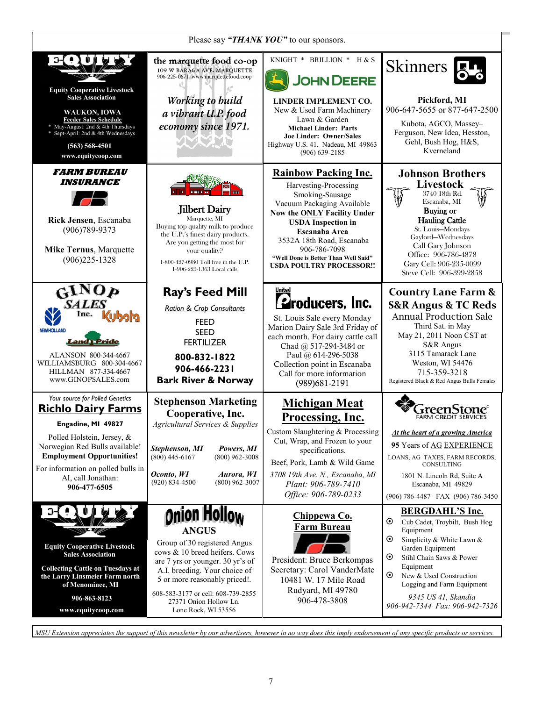| Please say "THANK YOU" to our sponsors.                                                                                                                                                                                                                            |                                                                                                                                                                                                                                                                                            |                                                                                                                                                                                                                                                                                                                           |                                                                                                                                                                                                                                                                                                                              |  |
|--------------------------------------------------------------------------------------------------------------------------------------------------------------------------------------------------------------------------------------------------------------------|--------------------------------------------------------------------------------------------------------------------------------------------------------------------------------------------------------------------------------------------------------------------------------------------|---------------------------------------------------------------------------------------------------------------------------------------------------------------------------------------------------------------------------------------------------------------------------------------------------------------------------|------------------------------------------------------------------------------------------------------------------------------------------------------------------------------------------------------------------------------------------------------------------------------------------------------------------------------|--|
| <b>Equity Cooperative Livestock</b><br><b>Sales Association</b><br>WAUKON, IOWA<br><b>Feeder Sales Schedule</b><br>* May-August: 2nd & 4th Thursdays<br>* Sept-April: 2nd & 4th Wednesdays<br>$(563) 568 - 4501$<br>www.equitycoop.com                             | the marquette food co-op<br>109 W BARAGA AVE. MARQUETTE<br>906-225-0671 www.marquettefood.coop<br>Working to build<br>a vibrant U.P. food<br>economy since 1971.<br>TANAN                                                                                                                  | KNIGHT * BRILLION * H & S<br><b>JOHN DEERE</b><br><b>LINDER IMPLEMENT CO.</b><br>New & Used Farm Machinery<br>Lawn & Garden<br><b>Michael Linder: Parts</b><br><b>Joe Linder: Owner/Sales</b><br>Highway U.S. 41, Nadeau, MI 49863<br>$(906)$ 639-2185                                                                    | <b>Skinners</b><br>Pickford, MI<br>906-647-5655 or 877-647-2500<br>Kubota, AGCO, Massey-<br>Ferguson, New Idea, Hesston,<br>Gehl, Bush Hog, H&S,<br>Kverneland                                                                                                                                                               |  |
| <i><b>FARM BUREAU</b></i><br><i><b>INSURANCE</b></i><br>Rick Jensen, Escanaba<br>$(906)789 - 9373$<br><b>Mike Ternus, Marquette</b><br>$(906)225 - 1328$                                                                                                           | <b>Jilbert Dairy</b><br>Marquette, MI<br>Buying top quality milk to produce<br>the U.P.'s finest dairy products.<br>Are you getting the most for<br>your quality?<br>1-800-427-0980 Toll free in the U.P.<br>1-906-225-1363 Local calls                                                    | <b>Rainbow Packing Inc.</b><br>Harvesting-Processing<br>Smoking-Sausage<br>Vacuum Packaging Available<br>Now the <b>ONLY</b> Facility Under<br><b>USDA</b> Inspection in<br><b>Escanaba Area</b><br>3532A 18th Road, Escanaba<br>906-786-7098<br>"Well Done is Better Than Well Said"<br><b>USDA POULTRY PROCESSOR !!</b> | <b>Johnson Brothers</b><br>Livestock<br>3740 18th Rd.<br>Escanaba, MI<br>Buying or<br><b>Hauling Cattle</b><br>St. Louis-Mondays<br>Gaylord-Wednesdays<br>Call Gary Johnson<br>Office: 906-786-4878<br>Gary Cell: 906-235-0099<br>Steve Cell: 906-399-2858                                                                   |  |
| GINOP<br><b>SALES</b><br>Inc.<br>ailodu<br><b>NEW HOLLAND</b><br>and I Pride<br>ALANSON 800-344-4667<br>WILLIAMSBURG 800-304-4667<br>HILLMAN 877-334-4667<br>www.GINOPSALES.com                                                                                    | Ray's Feed Mill<br><b>Ration &amp; Crop Consultants</b><br><b>FEED</b><br><b>SEED</b><br><b>FERTILIZER</b><br>800-832-1822<br>906-466-2231<br><b>Bark River &amp; Norway</b>                                                                                                               | United<br><b>E</b> roducers, Inc.<br>St. Louis Sale every Monday<br>Marion Dairy Sale 3rd Friday of<br>each month. For dairy cattle call<br>Chad @ 517-294-3484 or<br>Paul @ 614-296-5038<br>Collection point in Escanaba<br>Call for more information<br>(989) 681-2191                                                  | <b>Country Lane Farm &amp;</b><br><b>S&amp;R Angus &amp; TC Reds</b><br><b>Annual Production Sale</b><br>Third Sat. in May<br>May 21, 2011 Noon CST at<br>S&R Angus<br>3115 Tamarack Lane<br>Weston, WI 54476<br>715-359-3218<br>Registered Black & Red Angus Bulls Females                                                  |  |
| Your source for Polled Genetics<br><b>Richlo Dairy Farms</b><br>Engadine, MI 49827<br>Polled Holstein, Jersey, &<br>Norwegian Red Bulls available!<br><b>Employment Opportunities!</b><br>For information on polled bulls in<br>AI, call Jonathan:<br>906-477-6505 | <b>Stephenson Marketing</b><br>Cooperative, Inc.<br><b>Agricultural Services &amp; Supplies</b><br>Stephenson, MI<br>Powers, MI<br>$(800)$ 445-6167<br>$(800)$ 962-3008<br>Oconto, WI<br>Aurora, WI<br>$(800)$ 962-3007<br>$(920)$ 834-4500                                                | <b>Michigan Meat</b><br>Processing, Inc.<br>Custom Slaughtering & Processing<br>Cut, Wrap, and Frozen to your<br>specifications.<br>Beef, Pork, Lamb & Wild Game<br>3708 19th Ave. N., Escanaba, MI<br>Plant: 906-789-7410<br>Office: 906-789-0233                                                                        | At the heart of a growing America<br>95 Years of AG EXPERIENCE<br>LOANS, AG TAXES, FARM RECORDS,<br>CONSULTING<br>1801 N. Lincoln Rd, Suite A<br>Escanaba, MI 49829<br>(906) 786-4487 FAX (906) 786-3450                                                                                                                     |  |
| <b>Equity Cooperative Livestock</b><br><b>Sales Association</b><br><b>Collecting Cattle on Tuesdays at</b><br>the Larry Linsmeier Farm north<br>of Menominee, MI<br>906-863-8123<br>www.equitycoop.com                                                             | Onion Hollow<br><b>ANGUS</b><br>Group of 30 registered Angus<br>cows & 10 breed heifers. Cows<br>are 7 yrs or younger. 30 yr's of<br>A.I. breeding. Your choice of<br>5 or more reasonably priced!.<br>608-583-3177 or cell: 608-739-2855<br>27371 Onion Hollow Ln.<br>Lone Rock, WI 53556 | Chippewa Co.<br><b>Farm Bureau</b><br>President: Bruce Berkompas<br>Secretary: Carol VanderMate<br>10481 W. 17 Mile Road<br>Rudyard, MI 49780<br>906-478-3808                                                                                                                                                             | <b>BERGDAHL'S Inc.</b><br>$\odot$<br>Cub Cadet, Troybilt, Bush Hog<br>Equipment<br>$\odot$<br>Simplicity & White Lawn &<br>Garden Equipment<br>$\odot$<br>Stihl Chain Saws & Power<br>Equipment<br>$\odot$<br>New & Used Construction<br>Logging and Farm Equipment<br>9345 US 41, Skandia<br>906-942-7344 Fax: 906-942-7326 |  |

*MSU Extension appreciates the support of this newsletter by our advertisers, however in no way does this imply endorsement of any specific products or services.*